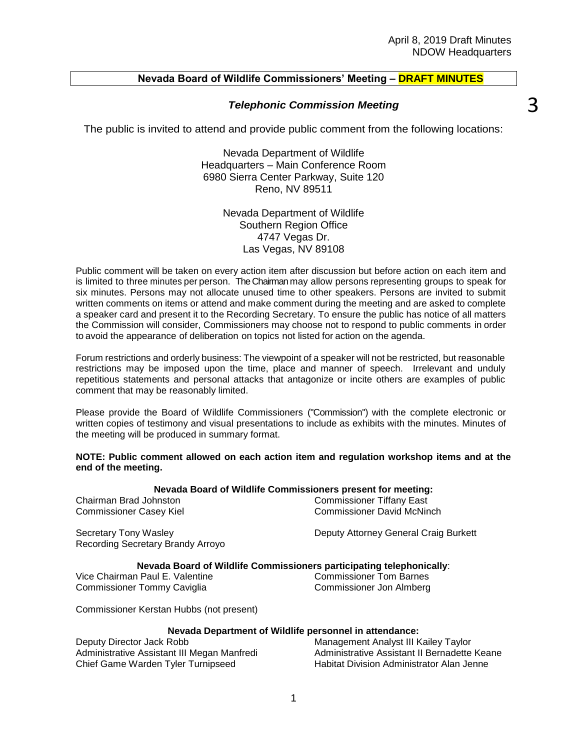3

# **Nevada Board of Wildlife Commissioners' Meeting – DRAFT MINUTES**

# *Telephonic Commission Meeting*

The public is invited to attend and provide public comment from the following locations:

Nevada Department of Wildlife Headquarters – Main Conference Room 6980 Sierra Center Parkway, Suite 120 Reno, NV 89511

> Nevada Department of Wildlife Southern Region Office 4747 Vegas Dr. Las Vegas, NV 89108

Public comment will be taken on every action item after discussion but before action on each item and is limited to three minutes per person. The Chairman may allow persons representing groups to speak for six minutes. Persons may not allocate unused time to other speakers. Persons are invited to submit written comments on items or attend and make comment during the meeting and are asked to complete a speaker card and present it to the Recording Secretary. To ensure the public has notice of all matters the Commission will consider, Commissioners may choose not to respond to public comments in order to avoid the appearance of deliberation on topics not listed for action on the agenda.

Forum restrictions and orderly business: The viewpoint of a speaker will not be restricted, but reasonable restrictions may be imposed upon the time, place and manner of speech. Irrelevant and unduly repetitious statements and personal attacks that antagonize or incite others are examples of public comment that may be reasonably limited.

Please provide the Board of Wildlife Commissioners ("Commission") with the complete electronic or written copies of testimony and visual presentations to include as exhibits with the minutes. Minutes of the meeting will be produced in summary format.

#### **NOTE: Public comment allowed on each action item and regulation workshop items and at the end of the meeting.**

#### **Nevada Board of Wildlife Commissioners present for meeting:**

| Chairman Brad Johnston<br><b>Commissioner Casey Kiel</b> | <b>Commissioner Tiffany East</b><br><b>Commissioner David McNinch</b> |
|----------------------------------------------------------|-----------------------------------------------------------------------|
|                                                          |                                                                       |

Recording Secretary Brandy Arroyo

Secretary Tony Wasley Deputy Attorney General Craig Burkett

#### **Nevada Board of Wildlife Commissioners participating telephonically**:

Vice Chairman Paul E. Valentine Commissioner Tom Barnes Commissioner Tommy Caviglia Commissioner Jon Almberg

Commissioner Kerstan Hubbs (not present)

### **Nevada Department of Wildlife personnel in attendance:**

Chief Game Warden Tyler Turnipseed Habitat Division Administrator Alan Jenne

Deputy Director Jack Robb Management Analyst III Kailey Taylor Administrative Assistant III Megan Manfredi Administrative Assistant II Bernadette Keane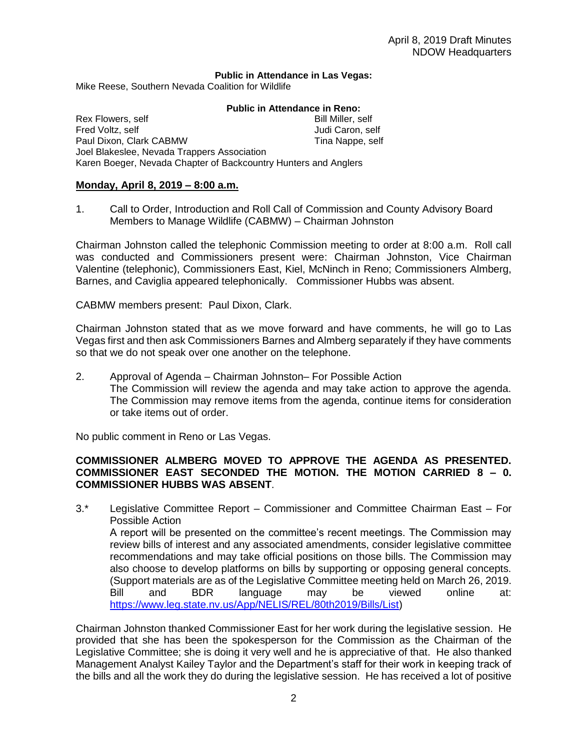#### **Public in Attendance in Las Vegas:**

Mike Reese, Southern Nevada Coalition for Wildlife

### **Public in Attendance in Reno:**

Rex Flowers, self **Bill Miller**, self Fred Voltz, self **Judi Caron, self** Judi Caron, self Paul Dixon, Clark CABMW Tina Nappe, self Joel Blakeslee, Nevada Trappers Association Karen Boeger, Nevada Chapter of Backcountry Hunters and Anglers

### **Monday, April 8, 2019 – 8:00 a.m.**

1. Call to Order, Introduction and Roll Call of Commission and County Advisory Board Members to Manage Wildlife (CABMW) – Chairman Johnston

Chairman Johnston called the telephonic Commission meeting to order at 8:00 a.m. Roll call was conducted and Commissioners present were: Chairman Johnston, Vice Chairman Valentine (telephonic), Commissioners East, Kiel, McNinch in Reno; Commissioners Almberg, Barnes, and Caviglia appeared telephonically. Commissioner Hubbs was absent.

CABMW members present: Paul Dixon, Clark.

Chairman Johnston stated that as we move forward and have comments, he will go to Las Vegas first and then ask Commissioners Barnes and Almberg separately if they have comments so that we do not speak over one another on the telephone.

2. Approval of Agenda – Chairman Johnston– For Possible Action The Commission will review the agenda and may take action to approve the agenda. The Commission may remove items from the agenda, continue items for consideration or take items out of order.

No public comment in Reno or Las Vegas.

## **COMMISSIONER ALMBERG MOVED TO APPROVE THE AGENDA AS PRESENTED. COMMISSIONER EAST SECONDED THE MOTION. THE MOTION CARRIED 8 – 0. COMMISSIONER HUBBS WAS ABSENT**.

3.\* Legislative Committee Report – Commissioner and Committee Chairman East – For Possible Action

A report will be presented on the committee's recent meetings. The Commission may review bills of interest and any associated amendments, consider legislative committee recommendations and may take official positions on those bills. The Commission may also choose to develop platforms on bills by supporting or opposing general concepts. (Support materials are as of the Legislative Committee meeting held on March 26, 2019. Bill and BDR language may be viewed online at: [https://www.leg.state.nv.us/App/NELIS/REL/80th2019/Bills/List\)](https://www.leg.state.nv.us/App/NELIS/REL/80th2019/Bills/List)

Chairman Johnston thanked Commissioner East for her work during the legislative session. He provided that she has been the spokesperson for the Commission as the Chairman of the Legislative Committee; she is doing it very well and he is appreciative of that. He also thanked Management Analyst Kailey Taylor and the Department's staff for their work in keeping track of the bills and all the work they do during the legislative session. He has received a lot of positive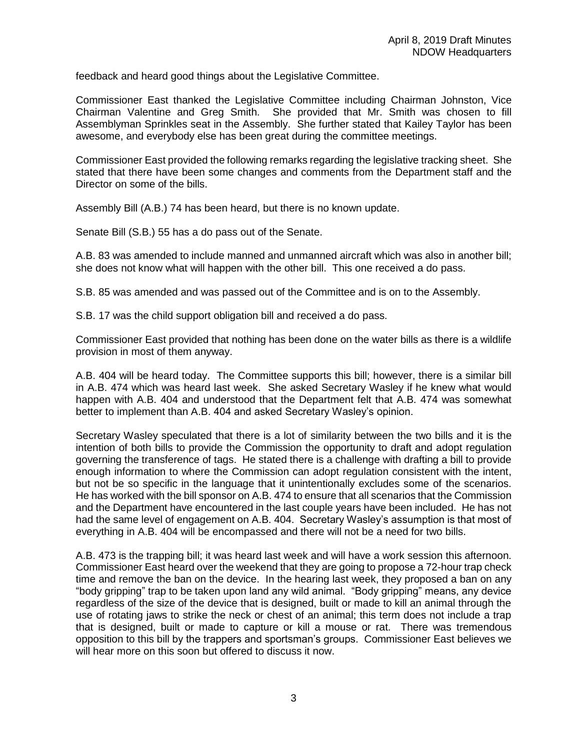feedback and heard good things about the Legislative Committee.

Commissioner East thanked the Legislative Committee including Chairman Johnston, Vice Chairman Valentine and Greg Smith. She provided that Mr. Smith was chosen to fill Assemblyman Sprinkles seat in the Assembly. She further stated that Kailey Taylor has been awesome, and everybody else has been great during the committee meetings.

Commissioner East provided the following remarks regarding the legislative tracking sheet. She stated that there have been some changes and comments from the Department staff and the Director on some of the bills.

Assembly Bill (A.B.) 74 has been heard, but there is no known update.

Senate Bill (S.B.) 55 has a do pass out of the Senate.

A.B. 83 was amended to include manned and unmanned aircraft which was also in another bill; she does not know what will happen with the other bill. This one received a do pass.

S.B. 85 was amended and was passed out of the Committee and is on to the Assembly.

S.B. 17 was the child support obligation bill and received a do pass.

Commissioner East provided that nothing has been done on the water bills as there is a wildlife provision in most of them anyway.

A.B. 404 will be heard today. The Committee supports this bill; however, there is a similar bill in A.B. 474 which was heard last week. She asked Secretary Wasley if he knew what would happen with A.B. 404 and understood that the Department felt that A.B. 474 was somewhat better to implement than A.B. 404 and asked Secretary Wasley's opinion.

Secretary Wasley speculated that there is a lot of similarity between the two bills and it is the intention of both bills to provide the Commission the opportunity to draft and adopt regulation governing the transference of tags. He stated there is a challenge with drafting a bill to provide enough information to where the Commission can adopt regulation consistent with the intent, but not be so specific in the language that it unintentionally excludes some of the scenarios. He has worked with the bill sponsor on A.B. 474 to ensure that all scenarios that the Commission and the Department have encountered in the last couple years have been included. He has not had the same level of engagement on A.B. 404. Secretary Wasley's assumption is that most of everything in A.B. 404 will be encompassed and there will not be a need for two bills.

A.B. 473 is the trapping bill; it was heard last week and will have a work session this afternoon. Commissioner East heard over the weekend that they are going to propose a 72-hour trap check time and remove the ban on the device. In the hearing last week, they proposed a ban on any "body gripping" trap to be taken upon land any wild animal. "Body gripping" means, any device regardless of the size of the device that is designed, built or made to kill an animal through the use of rotating jaws to strike the neck or chest of an animal; this term does not include a trap that is designed, built or made to capture or kill a mouse or rat. There was tremendous opposition to this bill by the trappers and sportsman's groups. Commissioner East believes we will hear more on this soon but offered to discuss it now.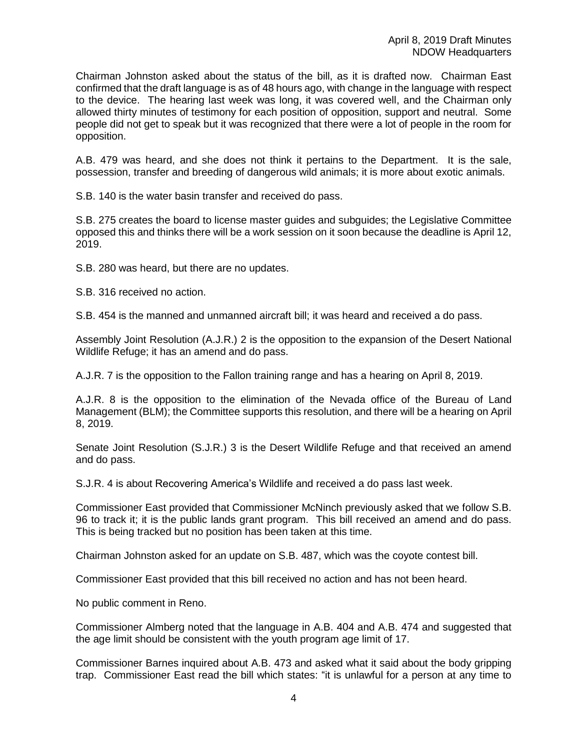Chairman Johnston asked about the status of the bill, as it is drafted now. Chairman East confirmed that the draft language is as of 48 hours ago, with change in the language with respect to the device. The hearing last week was long, it was covered well, and the Chairman only allowed thirty minutes of testimony for each position of opposition, support and neutral. Some people did not get to speak but it was recognized that there were a lot of people in the room for opposition.

A.B. 479 was heard, and she does not think it pertains to the Department. It is the sale, possession, transfer and breeding of dangerous wild animals; it is more about exotic animals.

S.B. 140 is the water basin transfer and received do pass.

S.B. 275 creates the board to license master guides and subguides; the Legislative Committee opposed this and thinks there will be a work session on it soon because the deadline is April 12, 2019.

S.B. 280 was heard, but there are no updates.

S.B. 316 received no action.

S.B. 454 is the manned and unmanned aircraft bill; it was heard and received a do pass.

Assembly Joint Resolution (A.J.R.) 2 is the opposition to the expansion of the Desert National Wildlife Refuge; it has an amend and do pass.

A.J.R. 7 is the opposition to the Fallon training range and has a hearing on April 8, 2019.

A.J.R. 8 is the opposition to the elimination of the Nevada office of the Bureau of Land Management (BLM); the Committee supports this resolution, and there will be a hearing on April 8, 2019.

Senate Joint Resolution (S.J.R.) 3 is the Desert Wildlife Refuge and that received an amend and do pass.

S.J.R. 4 is about Recovering America's Wildlife and received a do pass last week.

Commissioner East provided that Commissioner McNinch previously asked that we follow S.B. 96 to track it; it is the public lands grant program. This bill received an amend and do pass. This is being tracked but no position has been taken at this time.

Chairman Johnston asked for an update on S.B. 487, which was the coyote contest bill.

Commissioner East provided that this bill received no action and has not been heard.

No public comment in Reno.

Commissioner Almberg noted that the language in A.B. 404 and A.B. 474 and suggested that the age limit should be consistent with the youth program age limit of 17.

Commissioner Barnes inquired about A.B. 473 and asked what it said about the body gripping trap. Commissioner East read the bill which states: "it is unlawful for a person at any time to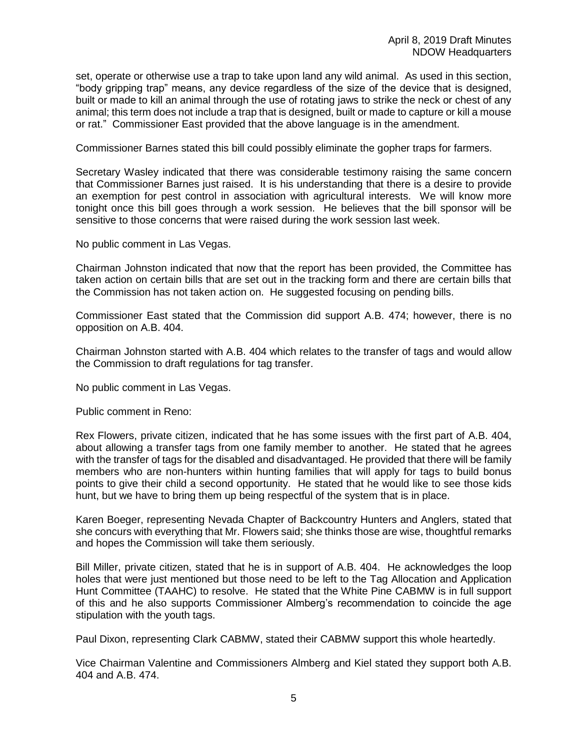set, operate or otherwise use a trap to take upon land any wild animal. As used in this section, "body gripping trap" means, any device regardless of the size of the device that is designed, built or made to kill an animal through the use of rotating jaws to strike the neck or chest of any animal; this term does not include a trap that is designed, built or made to capture or kill a mouse or rat." Commissioner East provided that the above language is in the amendment.

Commissioner Barnes stated this bill could possibly eliminate the gopher traps for farmers.

Secretary Wasley indicated that there was considerable testimony raising the same concern that Commissioner Barnes just raised. It is his understanding that there is a desire to provide an exemption for pest control in association with agricultural interests. We will know more tonight once this bill goes through a work session. He believes that the bill sponsor will be sensitive to those concerns that were raised during the work session last week.

No public comment in Las Vegas.

Chairman Johnston indicated that now that the report has been provided, the Committee has taken action on certain bills that are set out in the tracking form and there are certain bills that the Commission has not taken action on. He suggested focusing on pending bills.

Commissioner East stated that the Commission did support A.B. 474; however, there is no opposition on A.B. 404.

Chairman Johnston started with A.B. 404 which relates to the transfer of tags and would allow the Commission to draft regulations for tag transfer.

No public comment in Las Vegas.

Public comment in Reno:

Rex Flowers, private citizen, indicated that he has some issues with the first part of A.B. 404, about allowing a transfer tags from one family member to another. He stated that he agrees with the transfer of tags for the disabled and disadvantaged. He provided that there will be family members who are non-hunters within hunting families that will apply for tags to build bonus points to give their child a second opportunity. He stated that he would like to see those kids hunt, but we have to bring them up being respectful of the system that is in place.

Karen Boeger, representing Nevada Chapter of Backcountry Hunters and Anglers, stated that she concurs with everything that Mr. Flowers said; she thinks those are wise, thoughtful remarks and hopes the Commission will take them seriously.

Bill Miller, private citizen, stated that he is in support of A.B. 404. He acknowledges the loop holes that were just mentioned but those need to be left to the Tag Allocation and Application Hunt Committee (TAAHC) to resolve. He stated that the White Pine CABMW is in full support of this and he also supports Commissioner Almberg's recommendation to coincide the age stipulation with the youth tags.

Paul Dixon, representing Clark CABMW, stated their CABMW support this whole heartedly.

Vice Chairman Valentine and Commissioners Almberg and Kiel stated they support both A.B. 404 and A.B. 474.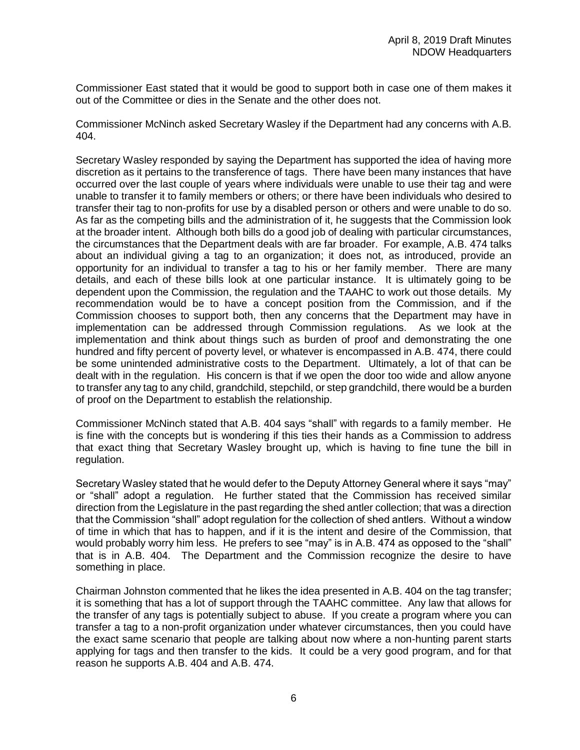Commissioner East stated that it would be good to support both in case one of them makes it out of the Committee or dies in the Senate and the other does not.

Commissioner McNinch asked Secretary Wasley if the Department had any concerns with A.B. 404.

Secretary Wasley responded by saying the Department has supported the idea of having more discretion as it pertains to the transference of tags. There have been many instances that have occurred over the last couple of years where individuals were unable to use their tag and were unable to transfer it to family members or others; or there have been individuals who desired to transfer their tag to non-profits for use by a disabled person or others and were unable to do so. As far as the competing bills and the administration of it, he suggests that the Commission look at the broader intent. Although both bills do a good job of dealing with particular circumstances, the circumstances that the Department deals with are far broader. For example, A.B. 474 talks about an individual giving a tag to an organization; it does not, as introduced, provide an opportunity for an individual to transfer a tag to his or her family member. There are many details, and each of these bills look at one particular instance. It is ultimately going to be dependent upon the Commission, the regulation and the TAAHC to work out those details. My recommendation would be to have a concept position from the Commission, and if the Commission chooses to support both, then any concerns that the Department may have in implementation can be addressed through Commission regulations. As we look at the implementation and think about things such as burden of proof and demonstrating the one hundred and fifty percent of poverty level, or whatever is encompassed in A.B. 474, there could be some unintended administrative costs to the Department. Ultimately, a lot of that can be dealt with in the regulation. His concern is that if we open the door too wide and allow anyone to transfer any tag to any child, grandchild, stepchild, or step grandchild, there would be a burden of proof on the Department to establish the relationship.

Commissioner McNinch stated that A.B. 404 says "shall" with regards to a family member. He is fine with the concepts but is wondering if this ties their hands as a Commission to address that exact thing that Secretary Wasley brought up, which is having to fine tune the bill in regulation.

Secretary Wasley stated that he would defer to the Deputy Attorney General where it says "may" or "shall" adopt a regulation. He further stated that the Commission has received similar direction from the Legislature in the past regarding the shed antler collection; that was a direction that the Commission "shall" adopt regulation for the collection of shed antlers. Without a window of time in which that has to happen, and if it is the intent and desire of the Commission, that would probably worry him less. He prefers to see "may" is in A.B. 474 as opposed to the "shall" that is in A.B. 404. The Department and the Commission recognize the desire to have something in place.

Chairman Johnston commented that he likes the idea presented in A.B. 404 on the tag transfer; it is something that has a lot of support through the TAAHC committee. Any law that allows for the transfer of any tags is potentially subject to abuse. If you create a program where you can transfer a tag to a non-profit organization under whatever circumstances, then you could have the exact same scenario that people are talking about now where a non-hunting parent starts applying for tags and then transfer to the kids. It could be a very good program, and for that reason he supports A.B. 404 and A.B. 474.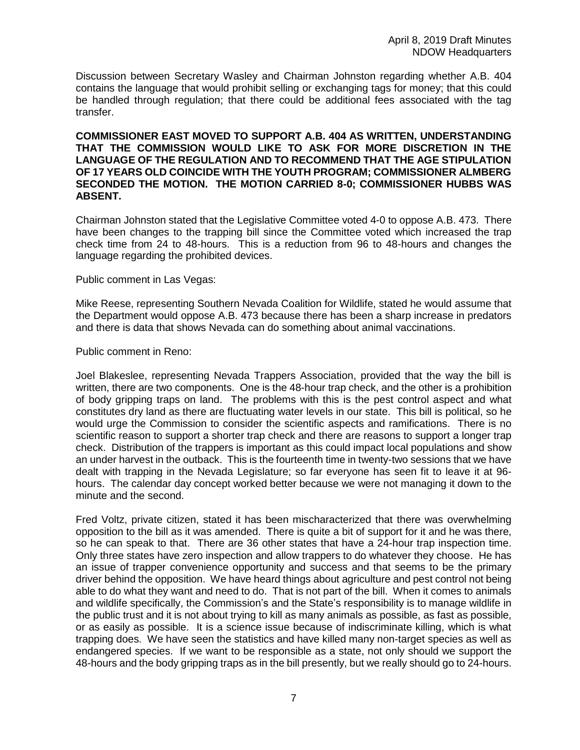Discussion between Secretary Wasley and Chairman Johnston regarding whether A.B. 404 contains the language that would prohibit selling or exchanging tags for money; that this could be handled through regulation; that there could be additional fees associated with the tag transfer.

**COMMISSIONER EAST MOVED TO SUPPORT A.B. 404 AS WRITTEN, UNDERSTANDING THAT THE COMMISSION WOULD LIKE TO ASK FOR MORE DISCRETION IN THE LANGUAGE OF THE REGULATION AND TO RECOMMEND THAT THE AGE STIPULATION OF 17 YEARS OLD COINCIDE WITH THE YOUTH PROGRAM; COMMISSIONER ALMBERG SECONDED THE MOTION. THE MOTION CARRIED 8-0; COMMISSIONER HUBBS WAS ABSENT.**

Chairman Johnston stated that the Legislative Committee voted 4-0 to oppose A.B. 473. There have been changes to the trapping bill since the Committee voted which increased the trap check time from 24 to 48-hours. This is a reduction from 96 to 48-hours and changes the language regarding the prohibited devices.

Public comment in Las Vegas:

Mike Reese, representing Southern Nevada Coalition for Wildlife, stated he would assume that the Department would oppose A.B. 473 because there has been a sharp increase in predators and there is data that shows Nevada can do something about animal vaccinations.

Public comment in Reno:

Joel Blakeslee, representing Nevada Trappers Association, provided that the way the bill is written, there are two components. One is the 48-hour trap check, and the other is a prohibition of body gripping traps on land. The problems with this is the pest control aspect and what constitutes dry land as there are fluctuating water levels in our state. This bill is political, so he would urge the Commission to consider the scientific aspects and ramifications. There is no scientific reason to support a shorter trap check and there are reasons to support a longer trap check. Distribution of the trappers is important as this could impact local populations and show an under harvest in the outback. This is the fourteenth time in twenty-two sessions that we have dealt with trapping in the Nevada Legislature; so far everyone has seen fit to leave it at 96 hours. The calendar day concept worked better because we were not managing it down to the minute and the second.

Fred Voltz, private citizen, stated it has been mischaracterized that there was overwhelming opposition to the bill as it was amended. There is quite a bit of support for it and he was there, so he can speak to that. There are 36 other states that have a 24-hour trap inspection time. Only three states have zero inspection and allow trappers to do whatever they choose. He has an issue of trapper convenience opportunity and success and that seems to be the primary driver behind the opposition. We have heard things about agriculture and pest control not being able to do what they want and need to do. That is not part of the bill. When it comes to animals and wildlife specifically, the Commission's and the State's responsibility is to manage wildlife in the public trust and it is not about trying to kill as many animals as possible, as fast as possible, or as easily as possible. It is a science issue because of indiscriminate killing, which is what trapping does. We have seen the statistics and have killed many non-target species as well as endangered species. If we want to be responsible as a state, not only should we support the 48-hours and the body gripping traps as in the bill presently, but we really should go to 24-hours.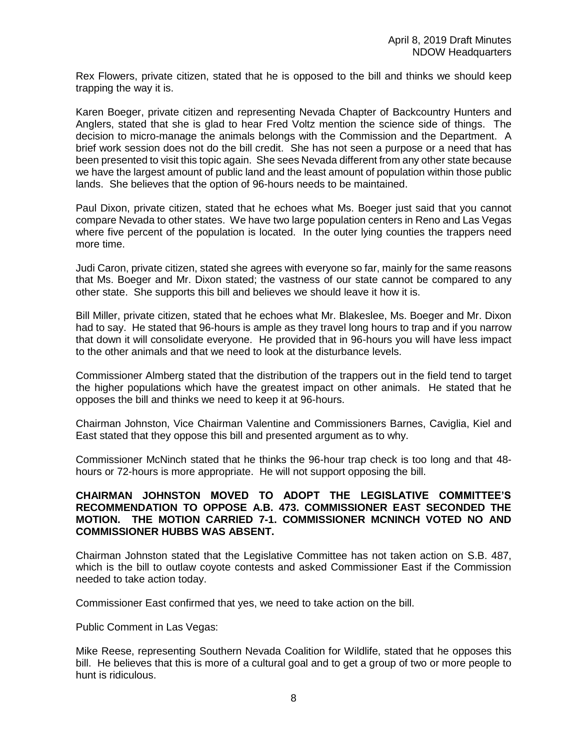Rex Flowers, private citizen, stated that he is opposed to the bill and thinks we should keep trapping the way it is.

Karen Boeger, private citizen and representing Nevada Chapter of Backcountry Hunters and Anglers, stated that she is glad to hear Fred Voltz mention the science side of things. The decision to micro-manage the animals belongs with the Commission and the Department. A brief work session does not do the bill credit. She has not seen a purpose or a need that has been presented to visit this topic again. She sees Nevada different from any other state because we have the largest amount of public land and the least amount of population within those public lands. She believes that the option of 96-hours needs to be maintained.

Paul Dixon, private citizen, stated that he echoes what Ms. Boeger just said that you cannot compare Nevada to other states. We have two large population centers in Reno and Las Vegas where five percent of the population is located. In the outer lying counties the trappers need more time.

Judi Caron, private citizen, stated she agrees with everyone so far, mainly for the same reasons that Ms. Boeger and Mr. Dixon stated; the vastness of our state cannot be compared to any other state. She supports this bill and believes we should leave it how it is.

Bill Miller, private citizen, stated that he echoes what Mr. Blakeslee, Ms. Boeger and Mr. Dixon had to say. He stated that 96-hours is ample as they travel long hours to trap and if you narrow that down it will consolidate everyone. He provided that in 96-hours you will have less impact to the other animals and that we need to look at the disturbance levels.

Commissioner Almberg stated that the distribution of the trappers out in the field tend to target the higher populations which have the greatest impact on other animals. He stated that he opposes the bill and thinks we need to keep it at 96-hours.

Chairman Johnston, Vice Chairman Valentine and Commissioners Barnes, Caviglia, Kiel and East stated that they oppose this bill and presented argument as to why.

Commissioner McNinch stated that he thinks the 96-hour trap check is too long and that 48 hours or 72-hours is more appropriate. He will not support opposing the bill.

# **CHAIRMAN JOHNSTON MOVED TO ADOPT THE LEGISLATIVE COMMITTEE'S RECOMMENDATION TO OPPOSE A.B. 473. COMMISSIONER EAST SECONDED THE MOTION. THE MOTION CARRIED 7-1. COMMISSIONER MCNINCH VOTED NO AND COMMISSIONER HUBBS WAS ABSENT.**

Chairman Johnston stated that the Legislative Committee has not taken action on S.B. 487, which is the bill to outlaw coyote contests and asked Commissioner East if the Commission needed to take action today.

Commissioner East confirmed that yes, we need to take action on the bill.

Public Comment in Las Vegas:

Mike Reese, representing Southern Nevada Coalition for Wildlife, stated that he opposes this bill. He believes that this is more of a cultural goal and to get a group of two or more people to hunt is ridiculous.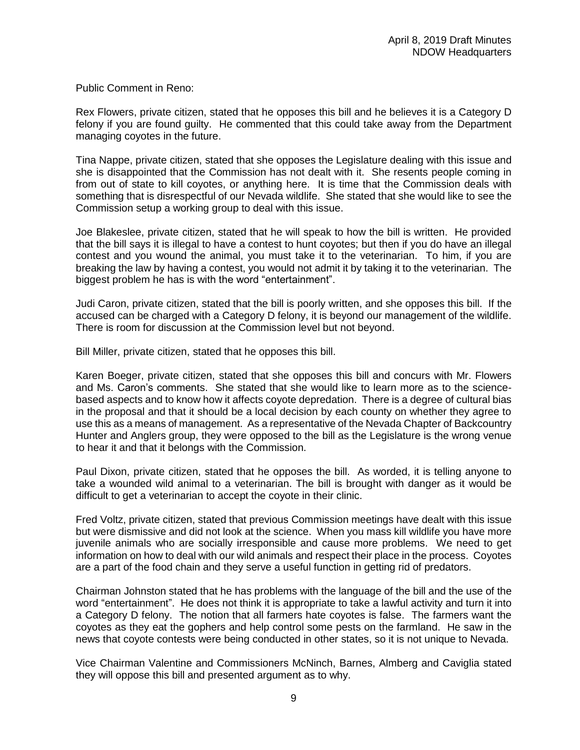Public Comment in Reno:

Rex Flowers, private citizen, stated that he opposes this bill and he believes it is a Category D felony if you are found guilty. He commented that this could take away from the Department managing coyotes in the future.

Tina Nappe, private citizen, stated that she opposes the Legislature dealing with this issue and she is disappointed that the Commission has not dealt with it. She resents people coming in from out of state to kill coyotes, or anything here. It is time that the Commission deals with something that is disrespectful of our Nevada wildlife. She stated that she would like to see the Commission setup a working group to deal with this issue.

Joe Blakeslee, private citizen, stated that he will speak to how the bill is written. He provided that the bill says it is illegal to have a contest to hunt coyotes; but then if you do have an illegal contest and you wound the animal, you must take it to the veterinarian. To him, if you are breaking the law by having a contest, you would not admit it by taking it to the veterinarian. The biggest problem he has is with the word "entertainment".

Judi Caron, private citizen, stated that the bill is poorly written, and she opposes this bill. If the accused can be charged with a Category D felony, it is beyond our management of the wildlife. There is room for discussion at the Commission level but not beyond.

Bill Miller, private citizen, stated that he opposes this bill.

Karen Boeger, private citizen, stated that she opposes this bill and concurs with Mr. Flowers and Ms. Caron's comments. She stated that she would like to learn more as to the sciencebased aspects and to know how it affects coyote depredation. There is a degree of cultural bias in the proposal and that it should be a local decision by each county on whether they agree to use this as a means of management. As a representative of the Nevada Chapter of Backcountry Hunter and Anglers group, they were opposed to the bill as the Legislature is the wrong venue to hear it and that it belongs with the Commission.

Paul Dixon, private citizen, stated that he opposes the bill. As worded, it is telling anyone to take a wounded wild animal to a veterinarian. The bill is brought with danger as it would be difficult to get a veterinarian to accept the coyote in their clinic.

Fred Voltz, private citizen, stated that previous Commission meetings have dealt with this issue but were dismissive and did not look at the science. When you mass kill wildlife you have more juvenile animals who are socially irresponsible and cause more problems. We need to get information on how to deal with our wild animals and respect their place in the process. Coyotes are a part of the food chain and they serve a useful function in getting rid of predators.

Chairman Johnston stated that he has problems with the language of the bill and the use of the word "entertainment". He does not think it is appropriate to take a lawful activity and turn it into a Category D felony. The notion that all farmers hate coyotes is false. The farmers want the coyotes as they eat the gophers and help control some pests on the farmland. He saw in the news that coyote contests were being conducted in other states, so it is not unique to Nevada.

Vice Chairman Valentine and Commissioners McNinch, Barnes, Almberg and Caviglia stated they will oppose this bill and presented argument as to why.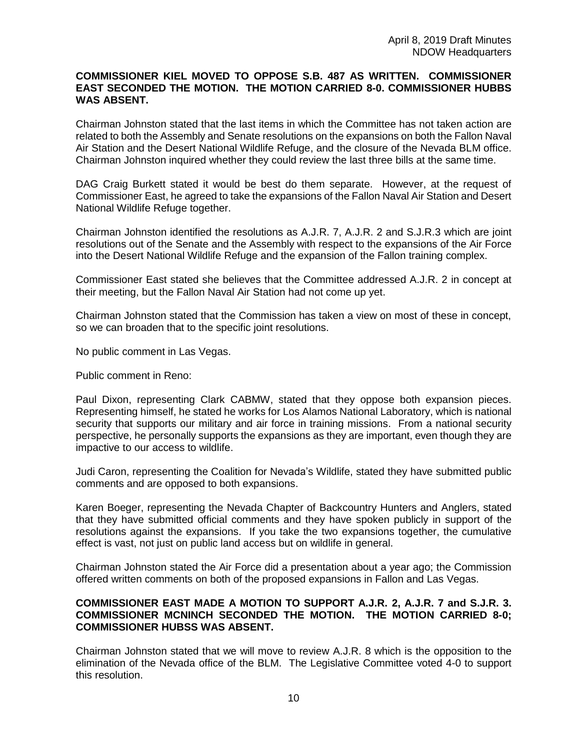# **COMMISSIONER KIEL MOVED TO OPPOSE S.B. 487 AS WRITTEN. COMMISSIONER EAST SECONDED THE MOTION. THE MOTION CARRIED 8-0. COMMISSIONER HUBBS WAS ABSENT.**

Chairman Johnston stated that the last items in which the Committee has not taken action are related to both the Assembly and Senate resolutions on the expansions on both the Fallon Naval Air Station and the Desert National Wildlife Refuge, and the closure of the Nevada BLM office. Chairman Johnston inquired whether they could review the last three bills at the same time.

DAG Craig Burkett stated it would be best do them separate. However, at the request of Commissioner East, he agreed to take the expansions of the Fallon Naval Air Station and Desert National Wildlife Refuge together.

Chairman Johnston identified the resolutions as A.J.R. 7, A.J.R. 2 and S.J.R.3 which are joint resolutions out of the Senate and the Assembly with respect to the expansions of the Air Force into the Desert National Wildlife Refuge and the expansion of the Fallon training complex.

Commissioner East stated she believes that the Committee addressed A.J.R. 2 in concept at their meeting, but the Fallon Naval Air Station had not come up yet.

Chairman Johnston stated that the Commission has taken a view on most of these in concept, so we can broaden that to the specific joint resolutions.

No public comment in Las Vegas.

Public comment in Reno:

Paul Dixon, representing Clark CABMW, stated that they oppose both expansion pieces. Representing himself, he stated he works for Los Alamos National Laboratory, which is national security that supports our military and air force in training missions. From a national security perspective, he personally supports the expansions as they are important, even though they are impactive to our access to wildlife.

Judi Caron, representing the Coalition for Nevada's Wildlife, stated they have submitted public comments and are opposed to both expansions.

Karen Boeger, representing the Nevada Chapter of Backcountry Hunters and Anglers, stated that they have submitted official comments and they have spoken publicly in support of the resolutions against the expansions. If you take the two expansions together, the cumulative effect is vast, not just on public land access but on wildlife in general.

Chairman Johnston stated the Air Force did a presentation about a year ago; the Commission offered written comments on both of the proposed expansions in Fallon and Las Vegas.

### **COMMISSIONER EAST MADE A MOTION TO SUPPORT A.J.R. 2, A.J.R. 7 and S.J.R. 3. COMMISSIONER MCNINCH SECONDED THE MOTION. THE MOTION CARRIED 8-0; COMMISSIONER HUBSS WAS ABSENT.**

Chairman Johnston stated that we will move to review A.J.R. 8 which is the opposition to the elimination of the Nevada office of the BLM. The Legislative Committee voted 4-0 to support this resolution.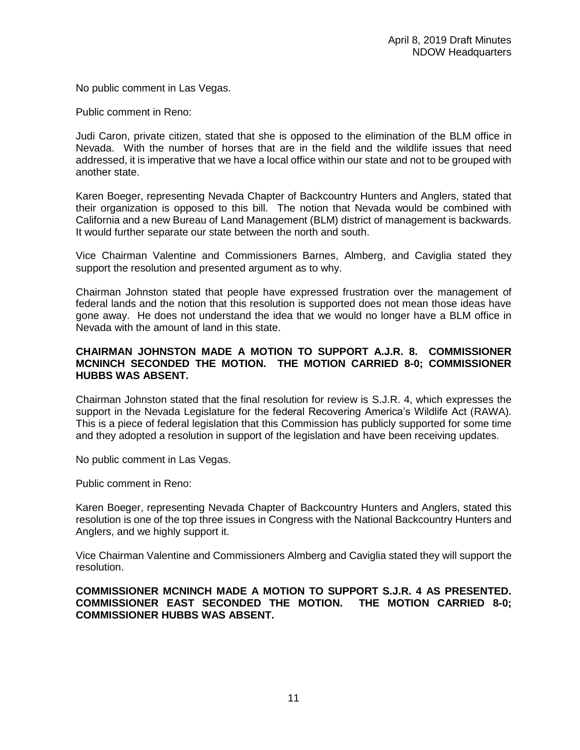No public comment in Las Vegas.

Public comment in Reno:

Judi Caron, private citizen, stated that she is opposed to the elimination of the BLM office in Nevada. With the number of horses that are in the field and the wildlife issues that need addressed, it is imperative that we have a local office within our state and not to be grouped with another state.

Karen Boeger, representing Nevada Chapter of Backcountry Hunters and Anglers, stated that their organization is opposed to this bill. The notion that Nevada would be combined with California and a new Bureau of Land Management (BLM) district of management is backwards. It would further separate our state between the north and south.

Vice Chairman Valentine and Commissioners Barnes, Almberg, and Caviglia stated they support the resolution and presented argument as to why.

Chairman Johnston stated that people have expressed frustration over the management of federal lands and the notion that this resolution is supported does not mean those ideas have gone away. He does not understand the idea that we would no longer have a BLM office in Nevada with the amount of land in this state.

# **CHAIRMAN JOHNSTON MADE A MOTION TO SUPPORT A.J.R. 8. COMMISSIONER MCNINCH SECONDED THE MOTION. THE MOTION CARRIED 8-0; COMMISSIONER HUBBS WAS ABSENT.**

Chairman Johnston stated that the final resolution for review is S.J.R. 4, which expresses the support in the Nevada Legislature for the federal Recovering America's Wildlife Act (RAWA). This is a piece of federal legislation that this Commission has publicly supported for some time and they adopted a resolution in support of the legislation and have been receiving updates.

No public comment in Las Vegas.

Public comment in Reno:

Karen Boeger, representing Nevada Chapter of Backcountry Hunters and Anglers, stated this resolution is one of the top three issues in Congress with the National Backcountry Hunters and Anglers, and we highly support it.

Vice Chairman Valentine and Commissioners Almberg and Caviglia stated they will support the resolution.

**COMMISSIONER MCNINCH MADE A MOTION TO SUPPORT S.J.R. 4 AS PRESENTED. COMMISSIONER EAST SECONDED THE MOTION. THE MOTION CARRIED 8-0; COMMISSIONER HUBBS WAS ABSENT.**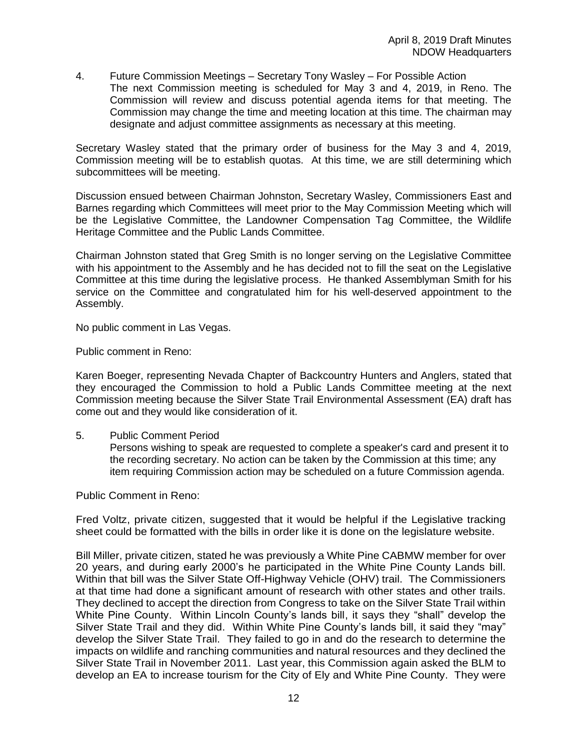4. Future Commission Meetings – Secretary Tony Wasley – For Possible Action The next Commission meeting is scheduled for May 3 and 4, 2019, in Reno. The Commission will review and discuss potential agenda items for that meeting. The Commission may change the time and meeting location at this time. The chairman may designate and adjust committee assignments as necessary at this meeting.

Secretary Wasley stated that the primary order of business for the May 3 and 4, 2019, Commission meeting will be to establish quotas. At this time, we are still determining which subcommittees will be meeting.

Discussion ensued between Chairman Johnston, Secretary Wasley, Commissioners East and Barnes regarding which Committees will meet prior to the May Commission Meeting which will be the Legislative Committee, the Landowner Compensation Tag Committee, the Wildlife Heritage Committee and the Public Lands Committee.

Chairman Johnston stated that Greg Smith is no longer serving on the Legislative Committee with his appointment to the Assembly and he has decided not to fill the seat on the Legislative Committee at this time during the legislative process. He thanked Assemblyman Smith for his service on the Committee and congratulated him for his well-deserved appointment to the Assembly.

No public comment in Las Vegas.

Public comment in Reno:

Karen Boeger, representing Nevada Chapter of Backcountry Hunters and Anglers, stated that they encouraged the Commission to hold a Public Lands Committee meeting at the next Commission meeting because the Silver State Trail Environmental Assessment (EA) draft has come out and they would like consideration of it.

### 5. Public Comment Period

Persons wishing to speak are requested to complete a speaker's card and present it to the recording secretary. No action can be taken by the Commission at this time; any item requiring Commission action may be scheduled on a future Commission agenda.

Public Comment in Reno:

Fred Voltz, private citizen, suggested that it would be helpful if the Legislative tracking sheet could be formatted with the bills in order like it is done on the legislature website.

Bill Miller, private citizen, stated he was previously a White Pine CABMW member for over 20 years, and during early 2000's he participated in the White Pine County Lands bill. Within that bill was the Silver State Off-Highway Vehicle (OHV) trail. The Commissioners at that time had done a significant amount of research with other states and other trails. They declined to accept the direction from Congress to take on the Silver State Trail within White Pine County. Within Lincoln County's lands bill, it says they "shall" develop the Silver State Trail and they did. Within White Pine County's lands bill, it said they "may" develop the Silver State Trail. They failed to go in and do the research to determine the impacts on wildlife and ranching communities and natural resources and they declined the Silver State Trail in November 2011. Last year, this Commission again asked the BLM to develop an EA to increase tourism for the City of Ely and White Pine County. They were